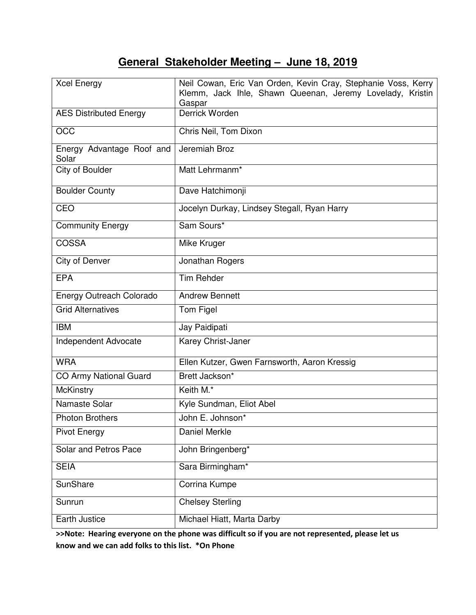# **General Stakeholder Meeting – June 18, 2019**

| <b>Xcel Energy</b>                 | Neil Cowan, Eric Van Orden, Kevin Cray, Stephanie Voss, Kerry<br>Klemm, Jack Ihle, Shawn Queenan, Jeremy Lovelady, Kristin<br>Gaspar |
|------------------------------------|--------------------------------------------------------------------------------------------------------------------------------------|
| <b>AES Distributed Energy</b>      | Derrick Worden                                                                                                                       |
| <b>OCC</b>                         | Chris Neil, Tom Dixon                                                                                                                |
| Energy Advantage Roof and<br>Solar | Jeremiah Broz                                                                                                                        |
| City of Boulder                    | Matt Lehrmanm*                                                                                                                       |
| <b>Boulder County</b>              | Dave Hatchimonji                                                                                                                     |
| CEO                                | Jocelyn Durkay, Lindsey Stegall, Ryan Harry                                                                                          |
| <b>Community Energy</b>            | Sam Sours*                                                                                                                           |
| <b>COSSA</b>                       | Mike Kruger                                                                                                                          |
| City of Denver                     | Jonathan Rogers                                                                                                                      |
| <b>EPA</b>                         | <b>Tim Rehder</b>                                                                                                                    |
| <b>Energy Outreach Colorado</b>    | <b>Andrew Bennett</b>                                                                                                                |
| <b>Grid Alternatives</b>           | Tom Figel                                                                                                                            |
| <b>IBM</b>                         | Jay Paidipati                                                                                                                        |
| Independent Advocate               | Karey Christ-Janer                                                                                                                   |
| <b>WRA</b>                         | Ellen Kutzer, Gwen Farnsworth, Aaron Kressig                                                                                         |
| <b>CO Army National Guard</b>      | Brett Jackson*                                                                                                                       |
| <b>McKinstry</b>                   | Keith M.*                                                                                                                            |
| Namaste Solar                      | Kyle Sundman, Eliot Abel                                                                                                             |
| <b>Photon Brothers</b>             | John E. Johnson*                                                                                                                     |
| <b>Pivot Energy</b>                | Daniel Merkle                                                                                                                        |
| Solar and Petros Pace              | John Bringenberg*                                                                                                                    |
| <b>SEIA</b>                        | Sara Birmingham*                                                                                                                     |
| SunShare                           | Corrina Kumpe                                                                                                                        |
| Sunrun                             | <b>Chelsey Sterling</b>                                                                                                              |
| Earth Justice                      | Michael Hiatt, Marta Darby                                                                                                           |

**>>Note: Hearing everyone on the phone was difficult so if you are not represented, please let us know and we can add folks to this list. \*On Phone**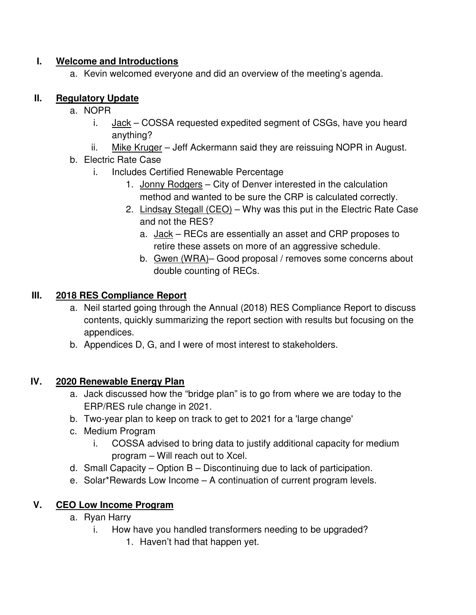#### **I. Welcome and Introductions**

a. Kevin welcomed everyone and did an overview of the meeting's agenda.

#### **II. Regulatory Update**

- a. NOPR
	- i.  $Jack COSSA$  requested expedited segment of CSGs, have you heard anything?
	- ii. Mike Kruger Jeff Ackermann said they are reissuing NOPR in August.
- b. Electric Rate Case
	- i. Includes Certified Renewable Percentage
		- 1. Jonny Rodgers City of Denver interested in the calculation method and wanted to be sure the CRP is calculated correctly.
		- 2. Lindsay Stegall (CEO) Why was this put in the Electric Rate Case and not the RES?
			- a. Jack RECs are essentially an asset and CRP proposes to retire these assets on more of an aggressive schedule.
			- b. Gwen (WRA)– Good proposal / removes some concerns about double counting of RECs.

#### **III. 2018 RES Compliance Report**

- a. Neil started going through the Annual (2018) RES Compliance Report to discuss contents, quickly summarizing the report section with results but focusing on the appendices.
- b. Appendices D, G, and I were of most interest to stakeholders.

#### **IV. 2020 Renewable Energy Plan**

- a. Jack discussed how the "bridge plan" is to go from where we are today to the ERP/RES rule change in 2021.
- b. Two-year plan to keep on track to get to 2021 for a 'large change'
- c. Medium Program
	- i. COSSA advised to bring data to justify additional capacity for medium program – Will reach out to Xcel.
- d. Small Capacity Option B Discontinuing due to lack of participation.
- e. Solar\*Rewards Low Income A continuation of current program levels.

#### **V. CEO Low Income Program**

- a. Ryan Harry
	- i. How have you handled transformers needing to be upgraded?
		- 1. Haven't had that happen yet.